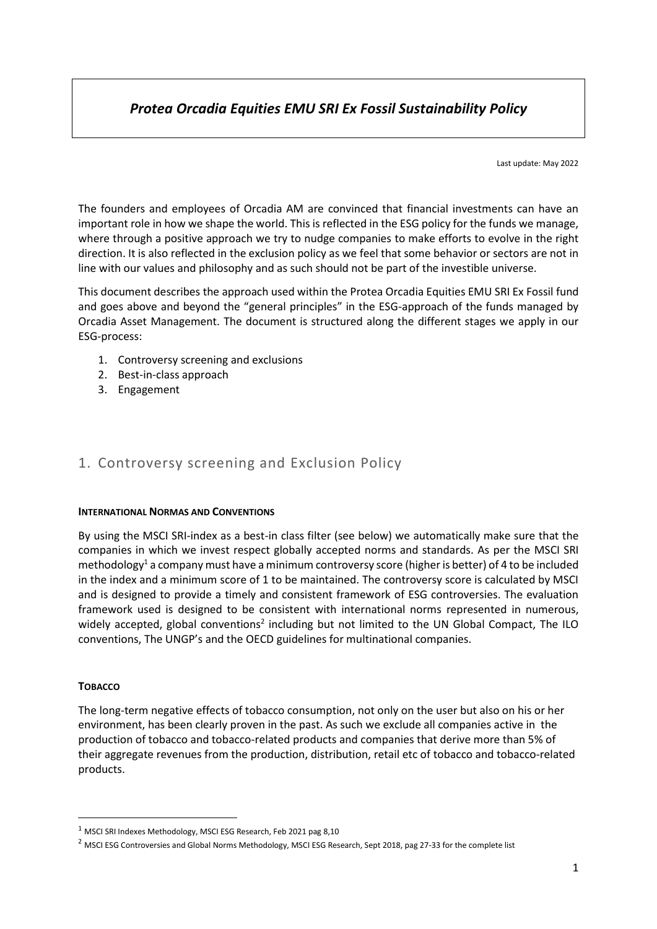# *Protea Orcadia Equities EMU SRI Ex Fossil Sustainability Policy*

Last update: May 2022

The founders and employees of Orcadia AM are convinced that financial investments can have an important role in how we shape the world. This is reflected in the ESG policy for the funds we manage, where through a positive approach we try to nudge companies to make efforts to evolve in the right direction. It is also reflected in the exclusion policy as we feel that some behavior or sectors are not in line with our values and philosophy and as such should not be part of the investible universe.

This document describes the approach used within the Protea Orcadia Equities EMU SRI Ex Fossil fund and goes above and beyond the "general principles" in the ESG-approach of the funds managed by Orcadia Asset Management. The document is structured along the different stages we apply in our ESG-process:

- 1. Controversy screening and exclusions
- 2. Best-in-class approach
- 3. Engagement

### 1. Controversy screening and Exclusion Policy

#### **INTERNATIONAL NORMAS AND CONVENTIONS**

By using the MSCI SRI-index as a best-in class filter (see below) we automatically make sure that the companies in which we invest respect globally accepted norms and standards. As per the MSCI SRI methodology<sup>1</sup> a company must have a minimum controversy score (higher is better) of 4 to be included in the index and a minimum score of 1 to be maintained. The controversy score is calculated by MSCI and is designed to provide a timely and consistent framework of ESG controversies. The evaluation framework used is designed to be consistent with international norms represented in numerous, widely accepted, global conventions<sup>2</sup> including but not limited to the UN Global Compact, The ILO conventions, The UNGP's and the OECD guidelines for multinational companies.

#### **TOBACCO**

The long-term negative effects of tobacco consumption, not only on the user but also on his or her environment, has been clearly proven in the past. As such we exclude all companies active in the production of tobacco and tobacco-related products and companies that derive more than 5% of their aggregate revenues from the production, distribution, retail etc of tobacco and tobacco-related products.

 $1$  MSCI SRI Indexes Methodology, MSCI ESG Research, Feb 2021 pag 8,10

<sup>&</sup>lt;sup>2</sup> MSCI ESG Controversies and Global Norms Methodology, MSCI ESG Research, Sept 2018, pag 27-33 for the complete list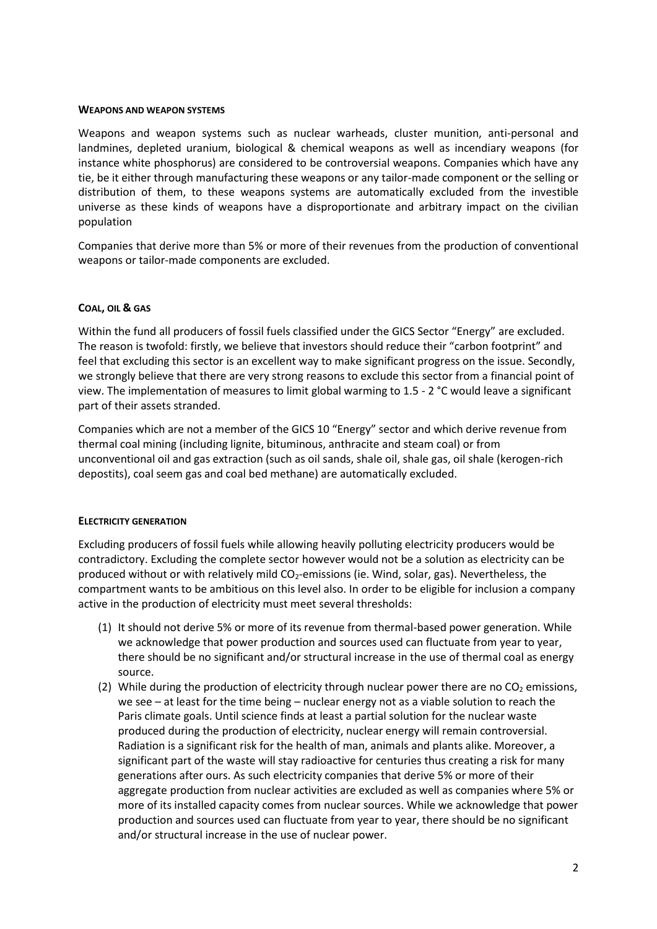#### **WEAPONS AND WEAPON SYSTEMS**

Weapons and weapon systems such as nuclear warheads, cluster munition, anti-personal and landmines, depleted uranium, biological & chemical weapons as well as incendiary weapons (for instance white phosphorus) are considered to be controversial weapons. Companies which have any tie, be it either through manufacturing these weapons or any tailor-made component or the selling or distribution of them, to these weapons systems are automatically excluded from the investible universe as these kinds of weapons have a disproportionate and arbitrary impact on the civilian population

Companies that derive more than 5% or more of their revenues from the production of conventional weapons or tailor-made components are excluded.

#### **COAL, OIL & GAS**

Within the fund all producers of fossil fuels classified under the GICS Sector "Energy" are excluded. The reason is twofold: firstly, we believe that investors should reduce their "carbon footprint" and feel that excluding this sector is an excellent way to make significant progress on the issue. Secondly, we strongly believe that there are very strong reasons to exclude this sector from a financial point of view. The implementation of measures to limit global warming to 1.5 - 2 °C would leave a significant part of their assets stranded.

Companies which are not a member of the GICS 10 "Energy" sector and which derive revenue from thermal coal mining (including lignite, bituminous, anthracite and steam coal) or from unconventional oil and gas extraction (such as oil sands, shale oil, shale gas, oil shale (kerogen-rich depostits), coal seem gas and coal bed methane) are automatically excluded.

#### **ELECTRICITY GENERATION**

Excluding producers of fossil fuels while allowing heavily polluting electricity producers would be contradictory. Excluding the complete sector however would not be a solution as electricity can be produced without or with relatively mild CO<sub>2</sub>-emissions (ie. Wind, solar, gas). Nevertheless, the compartment wants to be ambitious on this level also. In order to be eligible for inclusion a company active in the production of electricity must meet several thresholds:

- (1) It should not derive 5% or more of its revenue from thermal-based power generation. While we acknowledge that power production and sources used can fluctuate from year to year, there should be no significant and/or structural increase in the use of thermal coal as energy source.
- (2) While during the production of electricity through nuclear power there are no  $CO<sub>2</sub>$  emissions, we see – at least for the time being – nuclear energy not as a viable solution to reach the Paris climate goals. Until science finds at least a partial solution for the nuclear waste produced during the production of electricity, nuclear energy will remain controversial. Radiation is a significant risk for the health of man, animals and plants alike. Moreover, a significant part of the waste will stay radioactive for centuries thus creating a risk for many generations after ours. As such electricity companies that derive 5% or more of their aggregate production from nuclear activities are excluded as well as companies where 5% or more of its installed capacity comes from nuclear sources. While we acknowledge that power production and sources used can fluctuate from year to year, there should be no significant and/or structural increase in the use of nuclear power.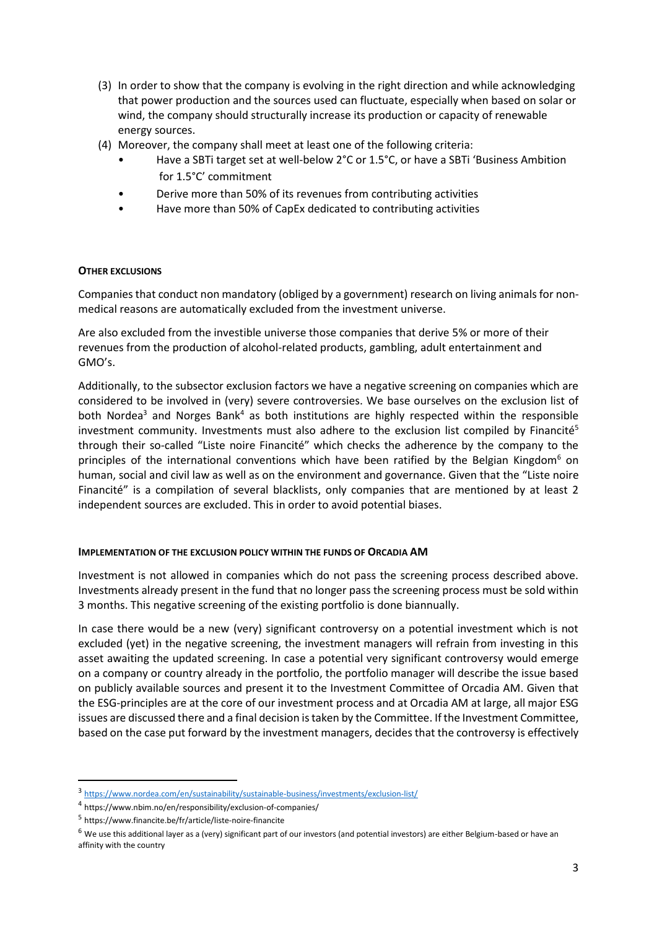- (3) In order to show that the company is evolving in the right direction and while acknowledging that power production and the sources used can fluctuate, especially when based on solar or wind, the company should structurally increase its production or capacity of renewable energy sources.
- (4) Moreover, the company shall meet at least one of the following criteria:
	- Have a SBTi target set at well-below 2°C or 1.5°C, or have a SBTi 'Business Ambition for 1.5°C' commitment
	- Derive more than 50% of its revenues from contributing activities
	- Have more than 50% of CapEx dedicated to contributing activities

#### **OTHER EXCLUSIONS**

Companies that conduct non mandatory (obliged by a government) research on living animals for nonmedical reasons are automatically excluded from the investment universe.

Are also excluded from the investible universe those companies that derive 5% or more of their revenues from the production of alcohol-related products, gambling, adult entertainment and GMO's.

Additionally, to the subsector exclusion factors we have a negative screening on companies which are considered to be involved in (very) severe controversies. We base ourselves on the exclusion list of both Nordea<sup>3</sup> and Norges Bank<sup>4</sup> as both institutions are highly respected within the responsible investment community. Investments must also adhere to the exclusion list compiled by Financité<sup>5</sup> through their so-called "Liste noire Financité" which checks the adherence by the company to the principles of the international conventions which have been ratified by the Belgian Kingdom<sup>6</sup> on human, social and civil law as well as on the environment and governance. Given that the "Liste noire Financité" is a compilation of several blacklists, only companies that are mentioned by at least 2 independent sources are excluded. This in order to avoid potential biases.

#### **IMPLEMENTATION OF THE EXCLUSION POLICY WITHIN THE FUNDS OF ORCADIA AM**

Investment is not allowed in companies which do not pass the screening process described above. Investments already present in the fund that no longer pass the screening process must be sold within 3 months. This negative screening of the existing portfolio is done biannually.

In case there would be a new (very) significant controversy on a potential investment which is not excluded (yet) in the negative screening, the investment managers will refrain from investing in this asset awaiting the updated screening. In case a potential very significant controversy would emerge on a company or country already in the portfolio, the portfolio manager will describe the issue based on publicly available sources and present it to the Investment Committee of Orcadia AM. Given that the ESG-principles are at the core of our investment process and at Orcadia AM at large, all major ESG issues are discussed there and a final decision is taken by the Committee. If the Investment Committee, based on the case put forward by the investment managers, decides that the controversy is effectively

<sup>3</sup> <https://www.nordea.com/en/sustainability/sustainable-business/investments/exclusion-list/>

<sup>4</sup> https://www.nbim.no/en/responsibility/exclusion-of-companies/

<sup>5</sup> https://www.financite.be/fr/article/liste-noire-financite

 $^6$  We use this additional layer as a (very) significant part of our investors (and potential investors) are either Belgium-based or have an affinity with the country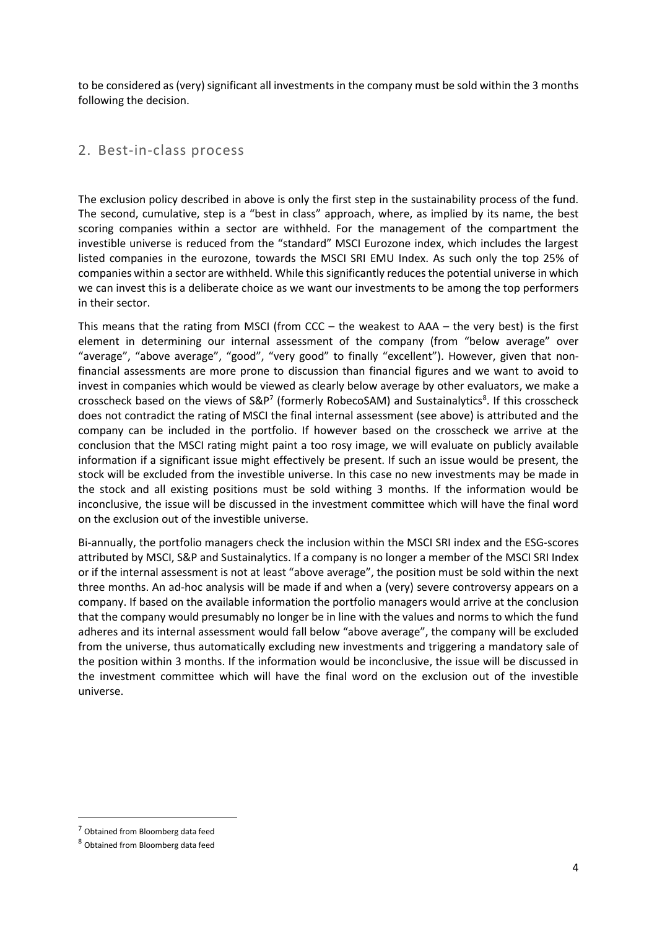to be considered as (very) significant all investments in the company must be sold within the 3 months following the decision.

### 2. Best-in-class process

The exclusion policy described in above is only the first step in the sustainability process of the fund. The second, cumulative, step is a "best in class" approach, where, as implied by its name, the best scoring companies within a sector are withheld. For the management of the compartment the investible universe is reduced from the "standard" MSCI Eurozone index, which includes the largest listed companies in the eurozone, towards the MSCI SRI EMU Index. As such only the top 25% of companies within a sector are withheld. While this significantly reduces the potential universe in which we can invest this is a deliberate choice as we want our investments to be among the top performers in their sector.

This means that the rating from MSCI (from CCC – the weakest to AAA – the very best) is the first element in determining our internal assessment of the company (from "below average" over "average", "above average", "good", "very good" to finally "excellent"). However, given that nonfinancial assessments are more prone to discussion than financial figures and we want to avoid to invest in companies which would be viewed as clearly below average by other evaluators, we make a crosscheck based on the views of S&P<sup>7</sup> (formerly RobecoSAM) and Sustainalytics<sup>8</sup>. If this crosscheck does not contradict the rating of MSCI the final internal assessment (see above) is attributed and the company can be included in the portfolio. If however based on the crosscheck we arrive at the conclusion that the MSCI rating might paint a too rosy image, we will evaluate on publicly available information if a significant issue might effectively be present. If such an issue would be present, the stock will be excluded from the investible universe. In this case no new investments may be made in the stock and all existing positions must be sold withing 3 months. If the information would be inconclusive, the issue will be discussed in the investment committee which will have the final word on the exclusion out of the investible universe.

Bi-annually, the portfolio managers check the inclusion within the MSCI SRI index and the ESG-scores attributed by MSCI, S&P and Sustainalytics. If a company is no longer a member of the MSCI SRI Index or if the internal assessment is not at least "above average", the position must be sold within the next three months. An ad-hoc analysis will be made if and when a (very) severe controversy appears on a company. If based on the available information the portfolio managers would arrive at the conclusion that the company would presumably no longer be in line with the values and norms to which the fund adheres and its internal assessment would fall below "above average", the company will be excluded from the universe, thus automatically excluding new investments and triggering a mandatory sale of the position within 3 months. If the information would be inconclusive, the issue will be discussed in the investment committee which will have the final word on the exclusion out of the investible universe.

<sup>7</sup> Obtained from Bloomberg data feed

<sup>8</sup> Obtained from Bloomberg data feed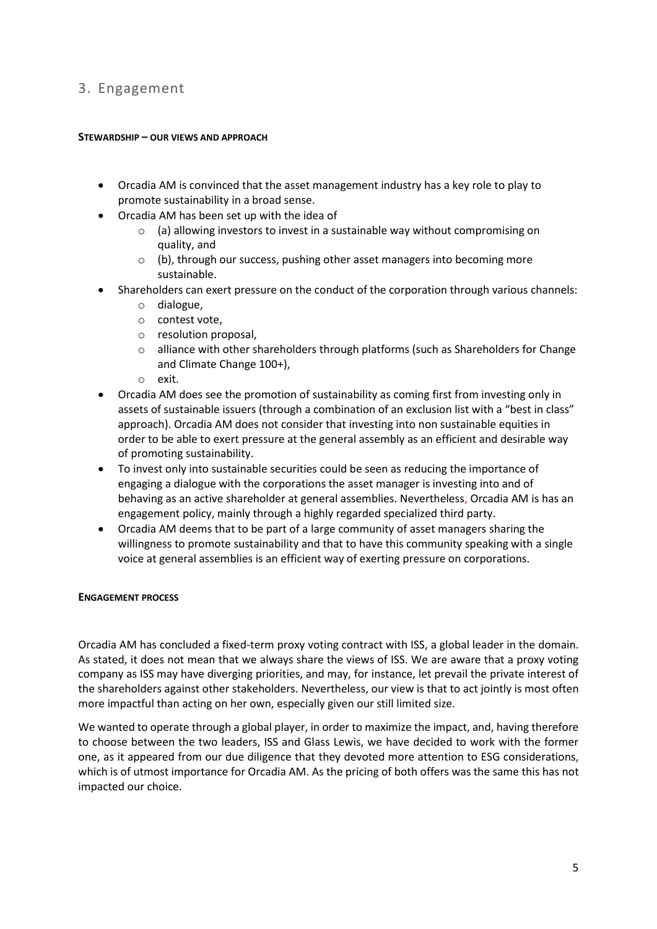## 3. Engagement

#### **STEWARDSHIP – OUR VIEWS AND APPROACH**

- Orcadia AM is convinced that the asset management industry has a key role to play to promote sustainability in a broad sense.
- Orcadia AM has been set up with the idea of
	- o (a) allowing investors to invest in a sustainable way without compromising on quality, and
	- $\circ$  (b), through our success, pushing other asset managers into becoming more sustainable.
- Shareholders can exert pressure on the conduct of the corporation through various channels:
	- o dialogue,
	- o contest vote,
	- o resolution proposal,
	- $\circ$  alliance with other shareholders through platforms (such as Shareholders for Change and Climate Change 100+),
	- o exit.
- Orcadia AM does see the promotion of sustainability as coming first from investing only in assets of sustainable issuers (through a combination of an exclusion list with a "best in class" approach). Orcadia AM does not consider that investing into non sustainable equities in order to be able to exert pressure at the general assembly as an efficient and desirable way of promoting sustainability.
- To invest only into sustainable securities could be seen as reducing the importance of engaging a dialogue with the corporations the asset manager is investing into and of behaving as an active shareholder at general assemblies. Nevertheless, Orcadia AM is has an engagement policy, mainly through a highly regarded specialized third party.
- Orcadia AM deems that to be part of a large community of asset managers sharing the willingness to promote sustainability and that to have this community speaking with a single voice at general assemblies is an efficient way of exerting pressure on corporations.

#### **ENGAGEMENT PROCESS**

Orcadia AM has concluded a fixed-term proxy voting contract with ISS, a global leader in the domain. As stated, it does not mean that we always share the views of ISS. We are aware that a proxy voting company as ISS may have diverging priorities, and may, for instance, let prevail the private interest of the shareholders against other stakeholders. Nevertheless, our view is that to act jointly is most often more impactful than acting on her own, especially given our still limited size.

We wanted to operate through a global player, in order to maximize the impact, and, having therefore to choose between the two leaders, ISS and Glass Lewis, we have decided to work with the former one, as it appeared from our due diligence that they devoted more attention to ESG considerations, which is of utmost importance for Orcadia AM. As the pricing of both offers was the same this has not impacted our choice.